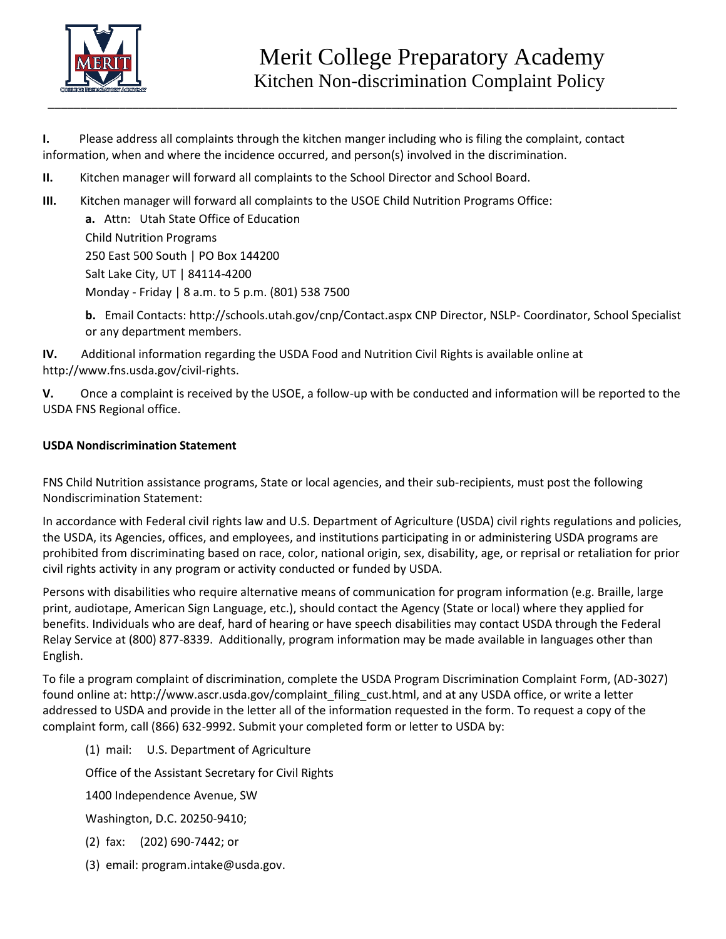

**I.** Please address all complaints through the kitchen manger including who is filing the complaint, contact information, when and where the incidence occurred, and person(s) involved in the discrimination.

- **II.** Kitchen manager will forward all complaints to the School Director and School Board.
- **III.** Kitchen manager will forward all complaints to the USOE Child Nutrition Programs Office:

**a.** Attn: Utah State Office of Education Child Nutrition Programs 250 East 500 South | PO Box 144200 Salt Lake City, UT | 84114-4200 Monday - Friday | 8 a.m. to 5 p.m. (801) 538 7500

**b.** Email Contacts: http://schools.utah.gov/cnp/Contact.aspx CNP Director, NSLP- Coordinator, School Specialist or any department members.

**IV.** Additional information regarding the USDA Food and Nutrition Civil Rights is available online at http://www.fns.usda.gov/civil-rights.

**V.** Once a complaint is received by the USOE, a follow-up with be conducted and information will be reported to the USDA FNS Regional office.

## **USDA Nondiscrimination Statement**

FNS Child Nutrition assistance programs, State or local agencies, and their sub-recipients, must post the following Nondiscrimination Statement:

In accordance with Federal civil rights law and U.S. Department of Agriculture (USDA) civil rights regulations and policies, the USDA, its Agencies, offices, and employees, and institutions participating in or administering USDA programs are prohibited from discriminating based on race, color, national origin, sex, disability, age, or reprisal or retaliation for prior civil rights activity in any program or activity conducted or funded by USDA.

Persons with disabilities who require alternative means of communication for program information (e.g. Braille, large print, audiotape, American Sign Language, etc.), should contact the Agency (State or local) where they applied for benefits. Individuals who are deaf, hard of hearing or have speech disabilities may contact USDA through the Federal Relay Service at (800) 877-8339. Additionally, program information may be made available in languages other than English.

To file a program complaint of discrimination, complete the USDA Program Discrimination Complaint Form, (AD-3027) found online at: http://www.ascr.usda.gov/complaint\_filing\_cust.html, and at any USDA office, or write a letter addressed to USDA and provide in the letter all of the information requested in the form. To request a copy of the complaint form, call (866) 632-9992. Submit your completed form or letter to USDA by:

(1) mail: U.S. Department of Agriculture

Office of the Assistant Secretary for Civil Rights

1400 Independence Avenue, SW

Washington, D.C. 20250-9410;

(2) fax: (202) 690-7442; or

(3) email: program.intake@usda.gov.